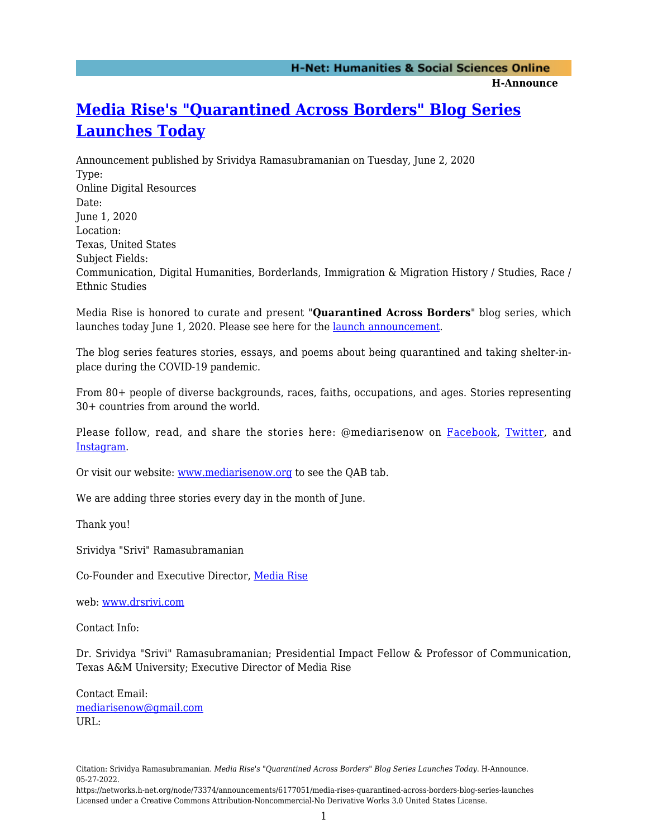**H-Announce** 

## **[Media Rise's "Quarantined Across Borders" Blog Series](https://networks.h-net.org/node/73374/announcements/6177051/media-rises-quarantined-across-borders-blog-series-launches) [Launches Today](https://networks.h-net.org/node/73374/announcements/6177051/media-rises-quarantined-across-borders-blog-series-launches)**

Announcement published by Srividya Ramasubramanian on Tuesday, June 2, 2020 Type: Online Digital Resources Date: June 1, 2020 Location: Texas, United States Subject Fields: Communication, Digital Humanities, Borderlands, Immigration & Migration History / Studies, Race / Ethnic Studies

Media Rise is honored to curate and present "**Quarantined Across Borders**" blog series, which launches today June 1, 2020. Please see here for the [launch announcement.](https://www.mediarisenow.org/post/launching-tomorrow-quarantined-across-borders)

The blog series features stories, essays, and poems about being quarantined and taking shelter-inplace during the COVID-19 pandemic.

From 80+ people of diverse backgrounds, races, faiths, occupations, and ages. Stories representing 30+ countries from around the world.

Please follow, read, and share the stories here: @mediarisenow on [Facebook,](https://networks.h-net.org/www.facebook.com/mediarisenow) [Twitter](https://networks.h-net.org/www.twitter.com/mediarisenow), and [Instagram.](https://networks.h-net.org/www.instagram.com/mediarisenow)

Or visit our website: [www.mediarisenow.org](https://networks.h-net.org/www.mediarisenow.org) to see the QAB tab.

We are adding three stories every day in the month of June.

Thank you!

Srividya "Srivi" Ramasubramanian

Co-Founder and Executive Director, [Media Rise](https://networks.h-net.org/www.mediarisenow.org)

web: [www.drsrivi.com](https://networks.h-net.org/www.drsrivi.com)

Contact Info:

Dr. Srividya "Srivi" Ramasubramanian; Presidential Impact Fellow & Professor of Communication, Texas A&M University; Executive Director of Media Rise

Contact Email: [mediarisenow@gmail.com](mailto:mediarisenow@gmail.com) URL:

Citation: Srividya Ramasubramanian. *Media Rise's "Quarantined Across Borders" Blog Series Launches Today*. H-Announce. 05-27-2022.

https://networks.h-net.org/node/73374/announcements/6177051/media-rises-quarantined-across-borders-blog-series-launches Licensed under a Creative Commons Attribution-Noncommercial-No Derivative Works 3.0 United States License.